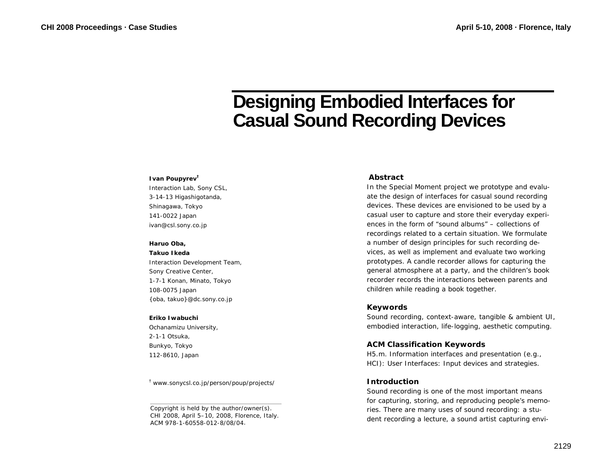# **Designing Embodied Interfaces for Casual Sound Recording Devices**

### **Ivan Poupyrev†**

Interaction Lab, Sony CSL, 3-14-13 Higashigotanda, Shinagawa, Tokyo 141-0022 Japan ivan@csl.sony.co.jp

#### **Haruo Oba,**

**Takuo Ikeda** 

Interaction Development Team, Sony Creative Center, 1-7-1 Konan, Minato, Tokyo 108-0075 Japan {oba, takuo}@dc.sony.co.jp

#### **Eriko Iwabuchi**

Ochanamizu University, 2-1-1 Otsuka, Bunkyo, Tokyo 112-8610, Japan

† www.sonycsl.co.jp/person/poup/projects/

# **Abstract**

In the *Special Moment* project we prototype and evaluate the design of interfaces for casual sound recording devices. These devices are envisioned to be used by a casual user to capture and store their everyday experiences in the form of "sound albums" – collections of recordings related to a certain situation. We formulate a number of design principles for such recording devices, as well as implement and evaluate two working prototypes. A *candle recorder* allows for capturing the general atmosphere at a party, and the *children's book recorder* records the interactions between parents and children while reading a book together.

### **Keywords**

Sound recording, context-aware, tangible & ambient UI, embodied interaction, life-logging, aesthetic computing.

# **ACM Classification Keywords**

H5.m. Information interfaces and presentation (e.g., HCI): User Interfaces: Input devices and strategies.

# **Introduction**

Sound recording is one of the most important means for capturing, storing, and reproducing people's memories. There are many uses of sound recording: a student recording a stu-<br>CHI 2008, April 5–10, 2008, Florence, Italy.<br>
ACM 978-1-60558-012-8/08/04.<br>
ACM 978-1-60558-012-8/08/04.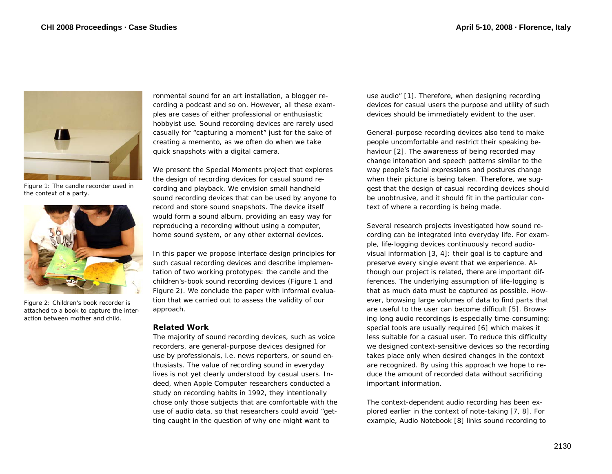

Figure 1: The candle recorder used in the context of a party.



Figure 2: Children's book recorder is attached to a book to capture the interaction between mother and child.

ronmental sound for an art installation, a blogger recording a podcast and so on. However, all these examples are cases of either professional or enthusiastic hobbyist use. Sound recording devices are rarely used *casually* for "capturing a moment" just for the sake of creating a memento, as we often do when we take quick snapshots with a digital camera.

We present the *Special Moments* project that explores the design of recording devices for casual sound recording and playback. We envision small handheld sound recording devices that can be used by anyone to record and store sound snapshots. The device itself would form a *sound album*, providing an easy way for reproducing a recording without using a computer, home sound system, or any other external devices.

In this paper we propose interface design principles for such casual recording devices and describe implementation of two working prototypes: the *candle* and the *children's-book* sound recording devices (Figure 1 and Figure 2). We conclude the paper with informal evaluation that we carried out to assess the validity of our approach.

# **Related Work**

The majority of sound recording devices, such as voice recorders, are general-purpose devices designed for use by professionals, i.e. news reporters, or sound enthusiasts. The value of recording sound in everyday lives is not yet clearly understood by casual users. Indeed, when Apple Computer researchers conducted a study on recording habits in 1992, they intentionally chose only those subjects that are comfortable with the use of audio data, so that researchers could avoid "getting caught in the question of why one might want to

use audio" [1]. Therefore, when designing recording devices for casual users the purpose and utility of such devices should be immediately evident to the user.

General-purpose recording devices also tend to make people uncomfortable and restrict their speaking behaviour [2]. The awareness of being recorded may change intonation and speech patterns similar to the way people's facial expressions and postures change when their picture is being taken. Therefore, we suggest that the design of casual recording devices should be unobtrusive, and it should fit in the particular context of where a recording is being made.

Several research projects investigated how sound recording can be integrated into everyday life. For example, *life-logging* devices continuously record audiovisual information [3, 4]: their goal is to capture and preserve every single event that we experience. Although our project is related, there are important differences. The underlying assumption of life-logging is that as much data must be captured as possible. However, browsing large volumes of data to find parts that are useful to the user can become difficult [5]. Browsing long audio recordings is especially time-consuming: special tools are usually required [6] which makes it less suitable for a casual user. To reduce this difficulty we designed *context-sensitive* devices so the recording takes place only when desired changes in the context are recognized. By using this approach we hope to reduce the amount of recorded data without sacrificing important information.

The context-dependent audio recording has been explored earlier in the context of note-taking [7, 8]. For example, Audio Notebook [8] links sound recording to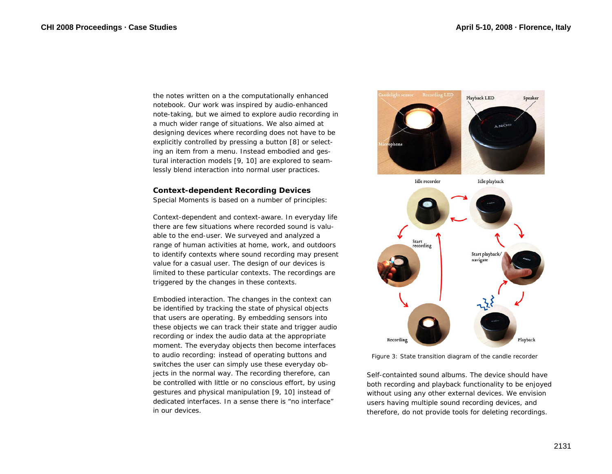the notes written on a the computationally enhanced notebook. Our work was inspired by audio-enhanced note-taking, but we aimed to explore audio recording in a much wider range of situations. We also aimed at designing devices where recording does not have to be explicitly controlled by pressing a button [8] or selecting an item from a menu. Instead embodied and gestural interaction models [9, 10] are explored to seamlessly blend interaction into normal user practices.

# **Context-dependent Recording Devices**

Special Moments is based on a number of principles:

C*ontext-dependent and context-aware*. In everyday life there are few situations where recorded sound is valuable to the end-user. We surveyed and analyzed a range of human activities at home, work, and outdoors to identify *contexts* where sound recording may present value for a casual user. The design of our devices is *limited* to these particular contexts. The recordings are triggered by the changes in these contexts.

*Embodied interaction*. The changes in the context can be identified by tracking the state of *physical objects* that users are operating. By embedding sensors into these objects we can track their state and trigger audio recording or index the audio data at the appropriate moment. The everyday objects then become interfaces to audio recording: instead of operating buttons and switches the user can simply use these everyday objects in the normal way. The recording therefore, can be controlled with little or no conscious effort, by using gestures and physical manipulation [9, 10] instead of dedicated interfaces. In a sense there is "no interface" in our devices.





Figure 3: State transition diagram of the candle recorder

*Self-containted sound albums*. The device should have both recording and playback functionality to be enjoyed without using any other external devices. We envision users having multiple sound recording devices, and therefore, do not provide tools for deleting recordings.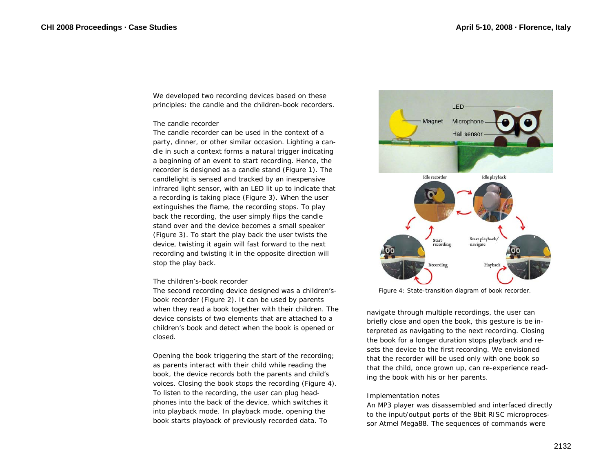We developed two recording devices based on these principles: the *candle* and the *children-book* recorders.

### *The candle recorder*

The *candle recorder* can be used in the context of a party, dinner, or other similar occasion. Lighting a candle in such a context forms a natural trigger indicating a beginning of an event to start recording. Hence, the recorder is designed as a candle stand (Figure 1). The candlelight is sensed and tracked by an inexpensive infrared light sensor, with an LED lit up to indicate that a recording is taking place (Figure 3). When the user extinguishes the flame, the recording stops. To play back the recording, the user simply flips the candle stand over and the device becomes a small speaker (Figure 3). To start the play back the user twists the device, twisting it again will fast forward to the next recording and twisting it in the opposite direction will stop the play back.

### *The children's-book recorder*

The second recording device designed was a *children'sbook recorder* (Figure 2). It can be used by parents when they read a book together with their children. The device consists of two elements that are attached to a children's book and detect when the book is opened or closed.

Opening the book triggering the start of the recording; as parents interact with their child while reading the book, the device records both the parents and child's voices. Closing the book stops the recording (Figure 4). To listen to the recording, the user can plug headphones into the back of the device, which switches it into playback mode. In playback mode, opening the book starts playback of previously recorded data. To



Figure 4: State-transition diagram of book recorder.

navigate through multiple recordings, the user can briefly close and open the book, this gesture is be interpreted as navigating to the next recording. Closing the book for a longer duration stops playback and resets the device to the first recording. We envisioned that the recorder will be used only with one book so that the child, once grown up, can re-experience reading the book with his or her parents.

### *Implementation notes*

An MP3 player was disassembled and interfaced directly to the input/output ports of the 8bit RISC microprocessor Atmel Mega88. The sequences of commands were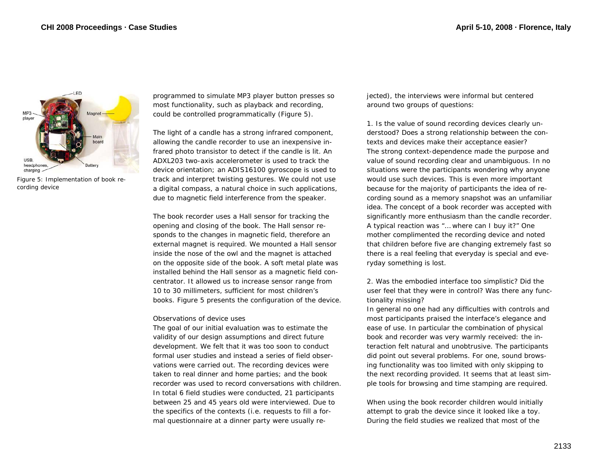

programmed to simulate MP3 player button presses so most functionality, such as playback and recording, could be controlled programmatically (Figure 5).

The light of a candle has a strong infrared component, allowing the candle recorder to use an inexpensive infrared photo transistor to detect if the candle is lit. An ADXL203 two-axis accelerometer is used to track the device orientation; an ADIS16100 gyroscope is used to track and interpret twisting gestures. We could not use a digital compass, a natural choice in such applications, due to magnetic field interference from the speaker.

The *book recorder* uses a Hall sensor for tracking the opening and closing of the book. The Hall sensor responds to the changes in magnetic field, therefore an external magnet is required. We mounted a Hall sensor inside the nose of the owl and the magnet is attached on the opposite side of the book. A soft metal plate was installed behind the Hall sensor as a magnetic field concentrator. It allowed us to increase sensor range from 10 to 30 millimeters, sufficient for most children's books. Figure 5 presents the configuration of the device.

### *Observations of device uses*

The goal of our initial evaluation was to estimate the validity of our design assumptions and direct future development. We felt that it was too soon to conduct formal user studies and instead a series of field observations were carried out. The recording devices were taken to real dinner and home parties; and the book recorder was used to record conversations with children. In total 6 field studies were conducted, 21 participants between 25 and 45 years old were interviewed. Due to the specifics of the contexts (i.e. requests to fill a formal questionnaire at a dinner party were usually re-Figures Implementation of book re-<br>
individual compass, a natural choice in such applications,<br>
in digital compass, a natural choice in such applications,<br>
the cause for the magierity of participants the idea<br>
the tom appe

jected), the interviews were informal but centered around two groups of questions:

*1. Is the value of sound recording devices clearly un derstood? Does a strong relationship between the con texts and devices make their acceptance easier?* The strong context-dependence made the purpose and<br>value of sound recording clear and unambiguous. In no<br>situations were the participants wondering why anyone<br>would use such devices. This is even more important<br>because for cording sound as a memory snapshot was an unfamiliar<br>idea. The concept of a book recorder was accepted with<br>significantly more enthusiasm than the candle recorder.<br>A typical reaction was "... where can I buy it?" One<br>mothe ryday something is lost.

# *2. Was the embodied interface too simplistic? Did the user feel that they were in control? Was there any func tionality missing?*

In general no one had any difficulties with controls and most participants praised the interface's elegance and ease of use. In particular the combination of physical book and recorder was very warmly received: the in teraction felt natural and unobtrusive. The participants did point out several problems. For one, sound brows ing functionality was too limited with only skipping to the next recording provided. It seems that at least sim-